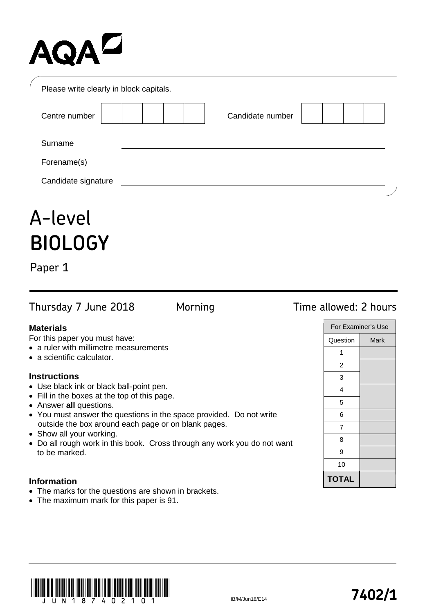# AQAD

| Please write clearly in block capitals. |                  |  |
|-----------------------------------------|------------------|--|
| Centre number                           | Candidate number |  |
| Surname                                 |                  |  |
| Forename(s)                             |                  |  |
| Candidate signature                     |                  |  |

## A-level **BIOLOGY**

Paper 1

Thursday 7 June 2018 Morning Time allowed: 2 hours

## **Materials**

For this paper you must have:

- a ruler with millimetre measurements
- a scientific calculator.

## **Instructions**

- Use black ink or black ball-point pen.
- Fill in the boxes at the top of this page.
- Answer **all** questions.
- You must answer the questions in the space provided. Do not write outside the box around each page or on blank pages.
- Show all your working.
- Do all rough work in this book. Cross through any work you do not want to be marked.

## **Information**

- The marks for the questions are shown in brackets.
- The maximum mark for this paper is 91.

|              | For Examiner's Use |
|--------------|--------------------|
| Question     | Mark               |
| 1            |                    |
| 2            |                    |
| 3            |                    |
| 4            |                    |
| 5            |                    |
| 6            |                    |
| 7            |                    |
| 8            |                    |
| 9            |                    |
| 10           |                    |
| <b>TOTAL</b> |                    |



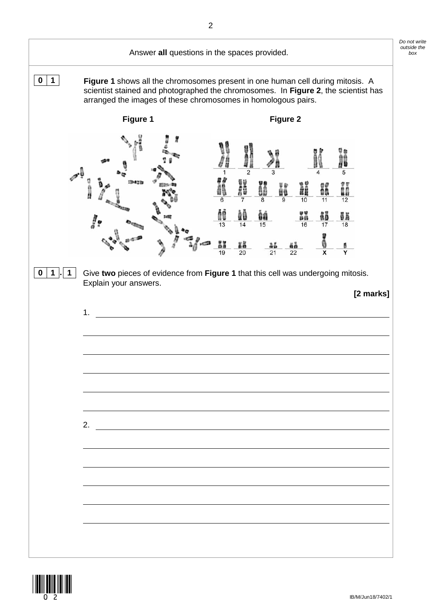

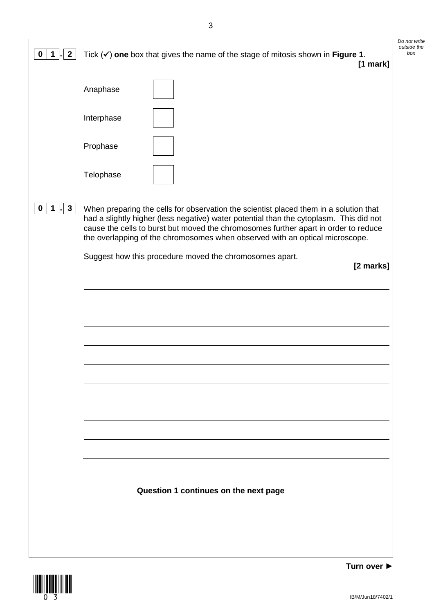| $\mathbf 0$<br>$\mathbf{2}$<br>$\mathbf{1}$ | Tick $(\checkmark)$ one box that gives the name of the stage of mitosis shown in Figure 1.<br>$[1$ mark]                                                                                                                                                                                                                                               | Do not write<br>outside the<br>box |
|---------------------------------------------|--------------------------------------------------------------------------------------------------------------------------------------------------------------------------------------------------------------------------------------------------------------------------------------------------------------------------------------------------------|------------------------------------|
|                                             | Anaphase                                                                                                                                                                                                                                                                                                                                               |                                    |
|                                             | Interphase                                                                                                                                                                                                                                                                                                                                             |                                    |
|                                             | Prophase                                                                                                                                                                                                                                                                                                                                               |                                    |
|                                             | Telophase                                                                                                                                                                                                                                                                                                                                              |                                    |
| $\mathbf{3}$<br>0                           | When preparing the cells for observation the scientist placed them in a solution that<br>had a slightly higher (less negative) water potential than the cytoplasm. This did not<br>cause the cells to burst but moved the chromosomes further apart in order to reduce<br>the overlapping of the chromosomes when observed with an optical microscope. |                                    |
|                                             | Suggest how this procedure moved the chromosomes apart.<br>[2 marks]                                                                                                                                                                                                                                                                                   |                                    |
|                                             |                                                                                                                                                                                                                                                                                                                                                        |                                    |
|                                             |                                                                                                                                                                                                                                                                                                                                                        |                                    |
|                                             |                                                                                                                                                                                                                                                                                                                                                        |                                    |
|                                             |                                                                                                                                                                                                                                                                                                                                                        |                                    |
|                                             |                                                                                                                                                                                                                                                                                                                                                        |                                    |
|                                             |                                                                                                                                                                                                                                                                                                                                                        |                                    |
|                                             | Question 1 continues on the next page                                                                                                                                                                                                                                                                                                                  |                                    |
|                                             |                                                                                                                                                                                                                                                                                                                                                        |                                    |

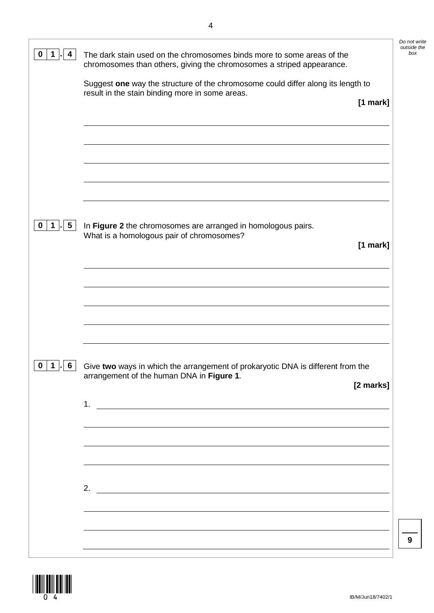|                      | Suggest one way the structure of the chromosome could differ along its length to                                       |
|----------------------|------------------------------------------------------------------------------------------------------------------------|
|                      | result in the stain binding more in some areas.<br>[1 mark]                                                            |
|                      |                                                                                                                        |
|                      |                                                                                                                        |
|                      |                                                                                                                        |
| $5\phantom{.0}$<br>1 | In Figure 2 the chromosomes are arranged in homologous pairs.                                                          |
|                      | What is a homologous pair of chromosomes?<br>[1 mark]                                                                  |
|                      |                                                                                                                        |
|                      |                                                                                                                        |
|                      |                                                                                                                        |
|                      |                                                                                                                        |
| 6<br>$\mathbf 1$     | Give two ways in which the arrangement of prokaryotic DNA is different from the                                        |
| $\mathbf 0$          | arrangement of the human DNA in Figure 1.<br>[2 marks]                                                                 |
|                      |                                                                                                                        |
|                      |                                                                                                                        |
|                      |                                                                                                                        |
|                      | 2. $\qquad \qquad$                                                                                                     |
|                      | <u> 1989 - Johann Stoff, deutscher Stoffen und der Stoffen und der Stoffen und der Stoffen und der Stoffen und der</u> |

 $\frac{1}{2}$ 

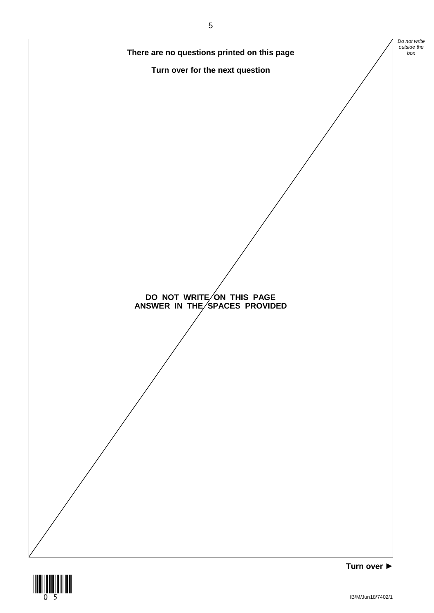



IB/M/Jun18/7402/1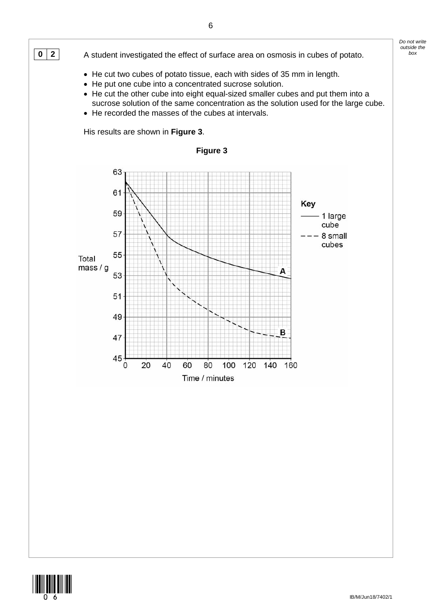





*Do not write*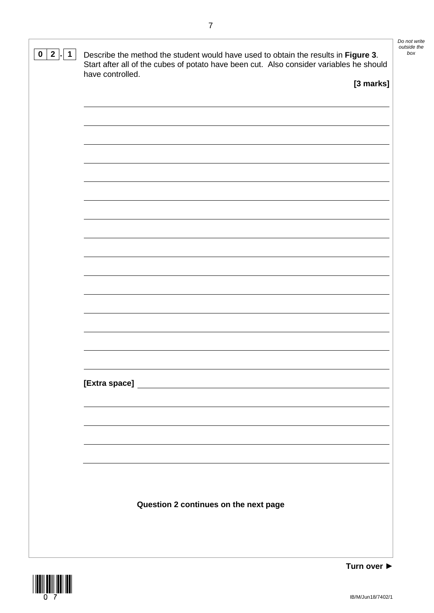| $2$  .  1<br>$\mathbf 0$ | Describe the method the student would have used to obtain the results in Figure 3.<br>Start after all of the cubes of potato have been cut. Also consider variables he should<br>have controlled. | Do not write<br>outside the<br>box |
|--------------------------|---------------------------------------------------------------------------------------------------------------------------------------------------------------------------------------------------|------------------------------------|
|                          | [3 marks]                                                                                                                                                                                         |                                    |
|                          |                                                                                                                                                                                                   |                                    |
|                          |                                                                                                                                                                                                   |                                    |
|                          |                                                                                                                                                                                                   |                                    |
|                          |                                                                                                                                                                                                   |                                    |
|                          |                                                                                                                                                                                                   |                                    |
|                          |                                                                                                                                                                                                   |                                    |
|                          |                                                                                                                                                                                                   |                                    |
|                          |                                                                                                                                                                                                   |                                    |
|                          |                                                                                                                                                                                                   |                                    |
|                          |                                                                                                                                                                                                   |                                    |
|                          |                                                                                                                                                                                                   |                                    |
|                          |                                                                                                                                                                                                   |                                    |
|                          |                                                                                                                                                                                                   |                                    |
|                          |                                                                                                                                                                                                   |                                    |
|                          |                                                                                                                                                                                                   |                                    |
|                          | Question 2 continues on the next page                                                                                                                                                             |                                    |
|                          |                                                                                                                                                                                                   |                                    |

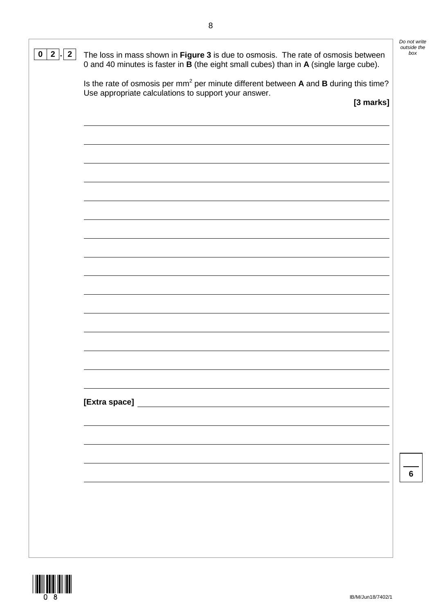| $\mathbf{2}$<br>$\mathbf{2}$<br>0 | The loss in mass shown in Figure 3 is due to osmosis. The rate of osmosis between<br>0 and 40 minutes is faster in B (the eight small cubes) than in A (single large cube). | Do not write<br>outside the<br>box |
|-----------------------------------|-----------------------------------------------------------------------------------------------------------------------------------------------------------------------------|------------------------------------|
|                                   | Is the rate of osmosis per mm <sup>2</sup> per minute different between A and B during this time?<br>Use appropriate calculations to support your answer.<br>[3 marks]      |                                    |
|                                   |                                                                                                                                                                             |                                    |
|                                   |                                                                                                                                                                             |                                    |
|                                   |                                                                                                                                                                             |                                    |
|                                   |                                                                                                                                                                             |                                    |
|                                   |                                                                                                                                                                             |                                    |
|                                   |                                                                                                                                                                             |                                    |
|                                   |                                                                                                                                                                             |                                    |
|                                   |                                                                                                                                                                             | 6                                  |
|                                   |                                                                                                                                                                             |                                    |

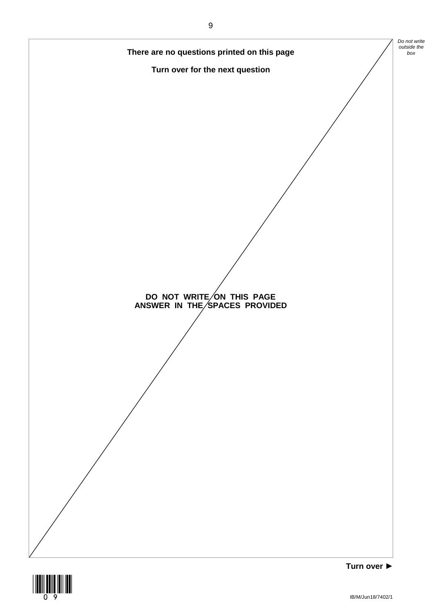

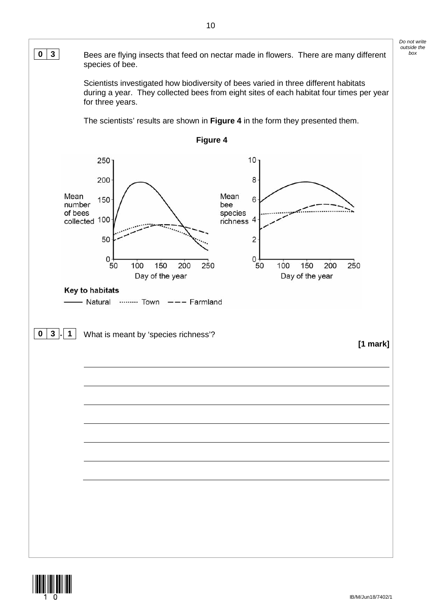

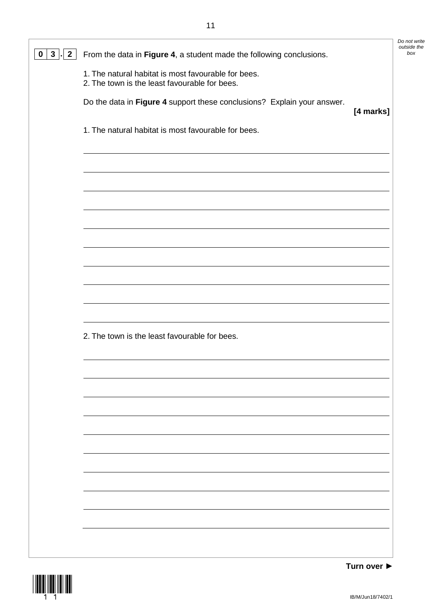|                                            |                                                                                                      | Do not write       |
|--------------------------------------------|------------------------------------------------------------------------------------------------------|--------------------|
| $\overline{2}$<br>$\mathbf{3}$<br>$\bf{0}$ | From the data in Figure 4, a student made the following conclusions.                                 | outside the<br>box |
|                                            | 1. The natural habitat is most favourable for bees.<br>2. The town is the least favourable for bees. |                    |
|                                            | Do the data in Figure 4 support these conclusions? Explain your answer.<br>[4 marks]                 |                    |
|                                            | 1. The natural habitat is most favourable for bees.                                                  |                    |
|                                            |                                                                                                      |                    |
|                                            |                                                                                                      |                    |
|                                            |                                                                                                      |                    |
|                                            |                                                                                                      |                    |
|                                            |                                                                                                      |                    |
|                                            |                                                                                                      |                    |
|                                            |                                                                                                      |                    |
|                                            | 2. The town is the least favourable for bees.                                                        |                    |
|                                            |                                                                                                      |                    |
|                                            |                                                                                                      |                    |
|                                            |                                                                                                      |                    |
|                                            |                                                                                                      |                    |
|                                            |                                                                                                      |                    |
|                                            |                                                                                                      |                    |
|                                            |                                                                                                      |                    |
|                                            |                                                                                                      |                    |

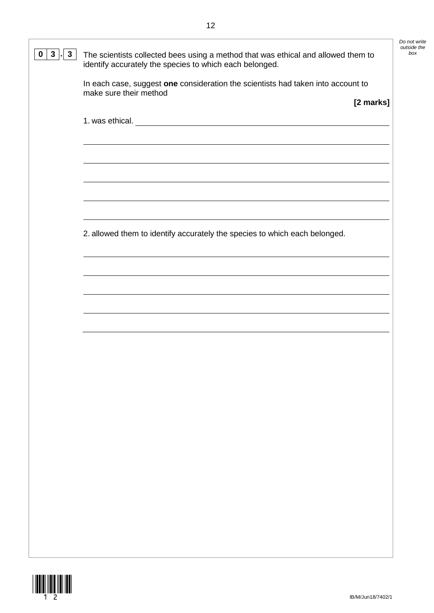| $3\phantom{a}$<br>3 <sup>1</sup><br>0 | The scientists collected bees using a method that was ethical and allowed them to<br>identify accurately the species to which each belonged. | Do not write<br>outside the<br>box |
|---------------------------------------|----------------------------------------------------------------------------------------------------------------------------------------------|------------------------------------|
|                                       | In each case, suggest one consideration the scientists had taken into account to<br>make sure their method<br>[2 marks]                      |                                    |
|                                       | 1. was ethical.                                                                                                                              |                                    |
|                                       |                                                                                                                                              |                                    |
|                                       |                                                                                                                                              |                                    |
|                                       | 2. allowed them to identify accurately the species to which each belonged.                                                                   |                                    |
|                                       |                                                                                                                                              |                                    |
|                                       |                                                                                                                                              |                                    |
|                                       |                                                                                                                                              |                                    |
|                                       |                                                                                                                                              |                                    |
|                                       |                                                                                                                                              |                                    |
|                                       |                                                                                                                                              |                                    |
|                                       |                                                                                                                                              |                                    |
|                                       |                                                                                                                                              |                                    |
|                                       |                                                                                                                                              |                                    |
|                                       |                                                                                                                                              |                                    |

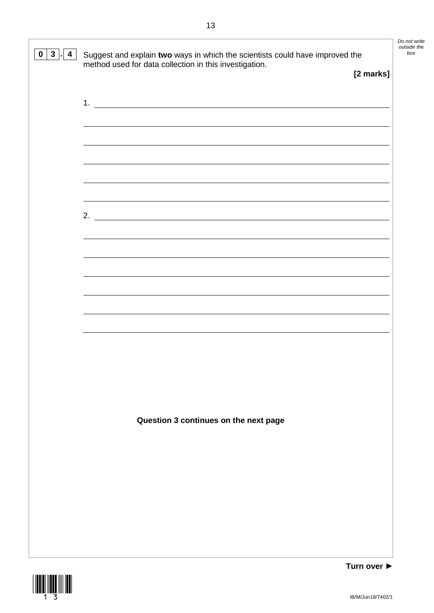| $\mathbf{3}$<br>4<br>0 | Suggest and explain two ways in which the scientists could have improved the<br>method used for data collection in this investigation. | [2 marks]   | Do not write<br>outside the<br>box |
|------------------------|----------------------------------------------------------------------------------------------------------------------------------------|-------------|------------------------------------|
|                        |                                                                                                                                        |             |                                    |
|                        |                                                                                                                                        |             |                                    |
|                        | <u> 1989 - Johann Stoff, deutscher Stoffen und der Stoffen und der Stoffen und der Stoffen und der Stoffen und der</u>                 |             |                                    |
|                        | ,我们也不会有什么。""我们的人,我们也不会有什么?""我们的人,我们也不会有什么?""我们的人,我们也不会有什么?""我们的人,我们也不会有什么?""我们的人                                                       |             |                                    |
|                        |                                                                                                                                        |             |                                    |
|                        | <u> 1989 - Johann Stoff, deutscher Stoffen und der Stoffen und der Stoffen und der Stoffen und der Stoffen und der</u>                 |             |                                    |
|                        |                                                                                                                                        |             |                                    |
|                        |                                                                                                                                        |             |                                    |
|                        | Question 3 continues on the next page                                                                                                  |             |                                    |
|                        |                                                                                                                                        |             |                                    |
|                        |                                                                                                                                        |             |                                    |
|                        |                                                                                                                                        | Turn over ▶ |                                    |

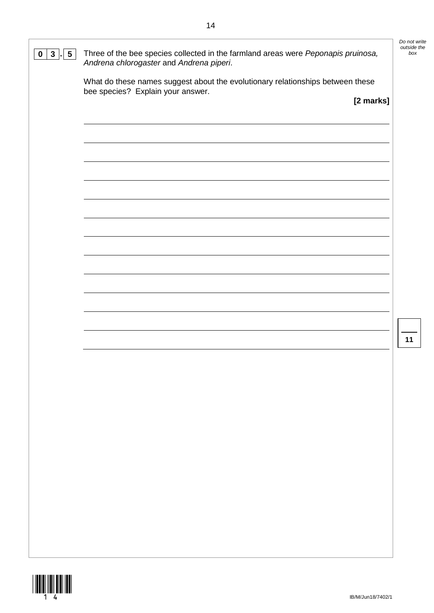| What do these names suggest about the evolutionary relationships between these<br>bee species? Explain your answer.<br>[2 marks]<br>11 | $5\phantom{.0}$<br>3 <sup>1</sup><br>$\bf{0}$ | Three of the bee species collected in the farmland areas were Peponapis pruinosa,<br>Andrena chlorogaster and Andrena piperi. | Do not write<br>outside the<br>box |
|----------------------------------------------------------------------------------------------------------------------------------------|-----------------------------------------------|-------------------------------------------------------------------------------------------------------------------------------|------------------------------------|
|                                                                                                                                        |                                               |                                                                                                                               |                                    |
|                                                                                                                                        |                                               |                                                                                                                               |                                    |
|                                                                                                                                        |                                               |                                                                                                                               |                                    |
|                                                                                                                                        |                                               |                                                                                                                               |                                    |
|                                                                                                                                        |                                               |                                                                                                                               |                                    |
|                                                                                                                                        |                                               |                                                                                                                               |                                    |
|                                                                                                                                        |                                               |                                                                                                                               |                                    |
|                                                                                                                                        |                                               |                                                                                                                               |                                    |
|                                                                                                                                        |                                               |                                                                                                                               |                                    |
|                                                                                                                                        |                                               |                                                                                                                               |                                    |
|                                                                                                                                        |                                               |                                                                                                                               |                                    |
|                                                                                                                                        |                                               |                                                                                                                               |                                    |
|                                                                                                                                        |                                               |                                                                                                                               |                                    |
|                                                                                                                                        |                                               |                                                                                                                               |                                    |
|                                                                                                                                        |                                               |                                                                                                                               |                                    |
|                                                                                                                                        |                                               |                                                                                                                               |                                    |
|                                                                                                                                        |                                               |                                                                                                                               |                                    |
|                                                                                                                                        |                                               |                                                                                                                               |                                    |
|                                                                                                                                        |                                               |                                                                                                                               |                                    |
|                                                                                                                                        |                                               |                                                                                                                               |                                    |
|                                                                                                                                        |                                               |                                                                                                                               |                                    |

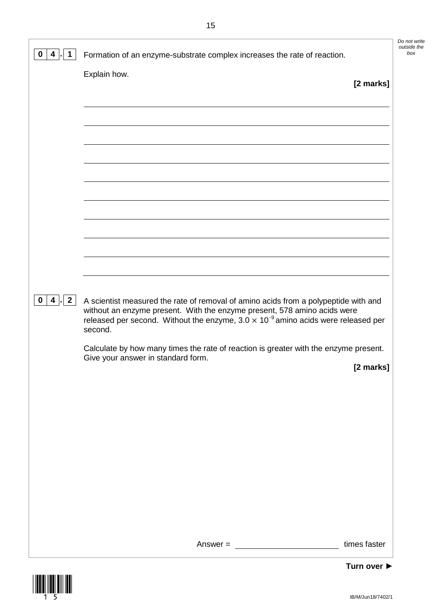| 0<br>4<br>1.           | Formation of an enzyme-substrate complex increases the rate of reaction.                                                                                                                                                                                                                                                                                                                       | Do not write<br>outside the<br>box |
|------------------------|------------------------------------------------------------------------------------------------------------------------------------------------------------------------------------------------------------------------------------------------------------------------------------------------------------------------------------------------------------------------------------------------|------------------------------------|
| 4 . 2 <br>$\mathbf{0}$ | Explain how.<br>[2 marks]<br>A scientist measured the rate of removal of amino acids from a polypeptide with and<br>without an enzyme present. With the enzyme present, 578 amino acids were<br>released per second. Without the enzyme, $3.0 \times 10^{-9}$ amino acids were released per<br>second.<br>Calculate by how many times the rate of reaction is greater with the enzyme present. |                                    |
|                        | Give your answer in standard form.<br>[2 marks]                                                                                                                                                                                                                                                                                                                                                |                                    |
|                        | times faster<br>Answer $=$                                                                                                                                                                                                                                                                                                                                                                     |                                    |
|                        | Turn over                                                                                                                                                                                                                                                                                                                                                                                      |                                    |

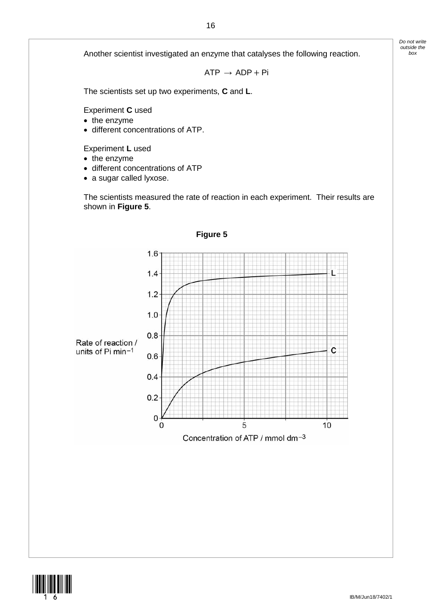Another scientist investigated an enzyme that catalyses the following reaction.

 $ATP \rightarrow ADP + Pi$ 

The scientists set up two experiments, **C** and **L**.

Experiment **C** used

- the enzyme
- different concentrations of ATP.

Experiment **L** used

- the enzyme
- different concentrations of ATP
- a sugar called lyxose.

The scientists measured the rate of reaction in each experiment. Their results are shown in **Figure 5**.





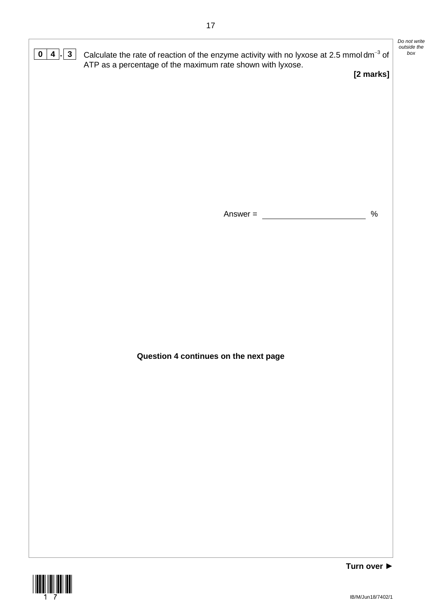



*Do not write outside the*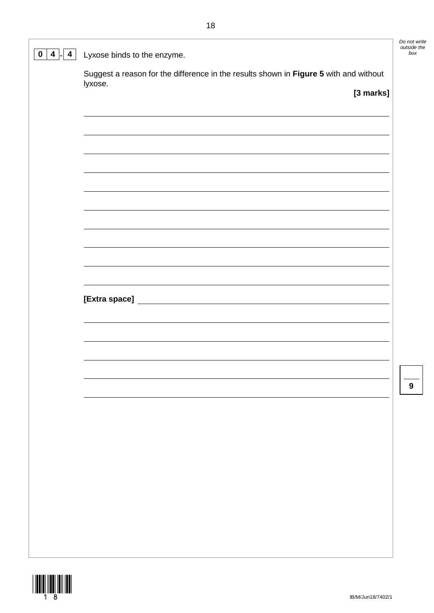| $\overline{4}$<br>$\boldsymbol{0}$<br>4 | Lyxose binds to the enzyme.                                                                      | Do not write<br>outside the<br>box |
|-----------------------------------------|--------------------------------------------------------------------------------------------------|------------------------------------|
|                                         | Suggest a reason for the difference in the results shown in Figure 5 with and without<br>lyxose. |                                    |
|                                         | [3 marks]                                                                                        |                                    |
|                                         |                                                                                                  |                                    |
|                                         |                                                                                                  |                                    |
|                                         |                                                                                                  |                                    |
|                                         |                                                                                                  |                                    |
|                                         |                                                                                                  |                                    |
|                                         |                                                                                                  |                                    |
|                                         |                                                                                                  |                                    |
|                                         |                                                                                                  |                                    |
|                                         |                                                                                                  |                                    |
|                                         |                                                                                                  |                                    |
|                                         |                                                                                                  |                                    |
|                                         |                                                                                                  |                                    |
|                                         |                                                                                                  |                                    |
|                                         |                                                                                                  | 9                                  |
|                                         |                                                                                                  |                                    |
|                                         |                                                                                                  |                                    |
|                                         |                                                                                                  |                                    |
|                                         |                                                                                                  |                                    |
|                                         |                                                                                                  |                                    |
|                                         |                                                                                                  |                                    |
|                                         |                                                                                                  |                                    |
|                                         |                                                                                                  |                                    |

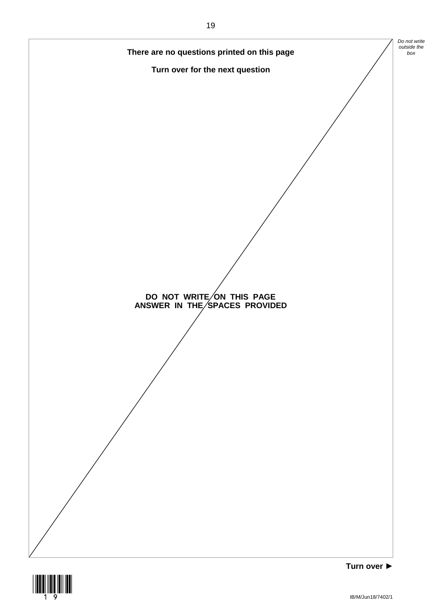

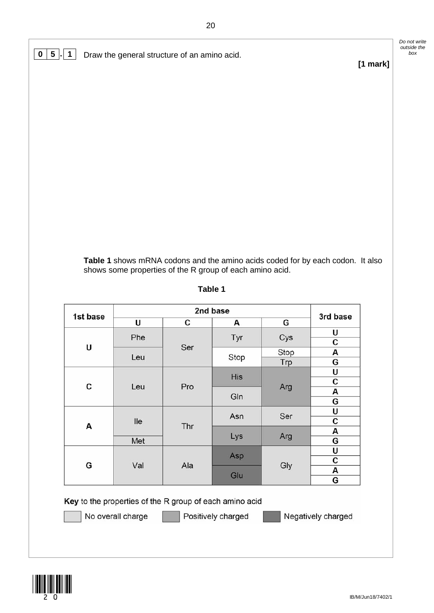**0 5 . 1** Draw the general structure of an amino acid.

## *outside the*

*Do not write* 

**[1 mark]**

**Table 1** shows mRNA codons and the amino acids coded for by each codon. It also shows some properties of the R group of each amino acid.

| 1st base |            | 3rd base |      |      |     |  |  |   |
|----------|------------|----------|------|------|-----|--|--|---|
|          | U          | С        | Α    | G    |     |  |  |   |
|          | Phe        | Ser      | Tyr  | Cys  | U   |  |  |   |
| U        |            |          |      |      | с   |  |  |   |
|          | Leu        |          | Stop | Stop | А   |  |  |   |
|          |            |          |      | Trp  | G   |  |  |   |
|          |            |          | His  |      | U   |  |  |   |
| C        | Pro<br>Leu |          |      | Arg  | с   |  |  |   |
|          |            |          | Gln  |      | А   |  |  |   |
|          |            |          |      |      | G   |  |  |   |
|          |            |          | Asn  | Ser  | U   |  |  |   |
| Α        | lle        |          |      |      | Thr |  |  | с |
|          |            |          | Lys  | Arg  | А   |  |  |   |
|          | Met        |          |      |      | G   |  |  |   |
|          |            |          | Asp  | Gly  | U   |  |  |   |
| G        | Val        | Ala      |      |      | с   |  |  |   |
|          |            |          | Glu  |      | А   |  |  |   |
|          |            |          |      |      | G   |  |  |   |

## **Table 1**

Key to the properties of the R group of each amino acid



No overall charge

Positively charged

Negatively charged

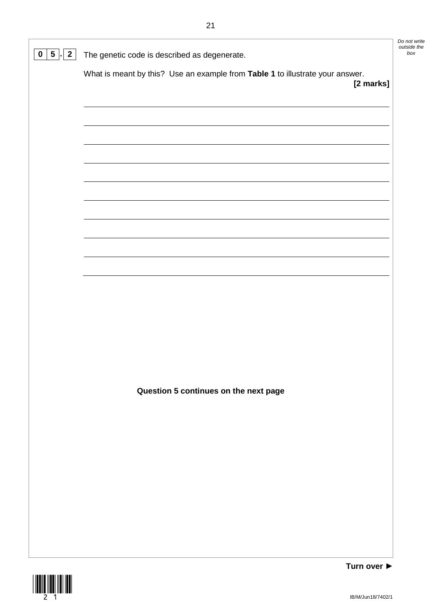|                           |                                                                                            | Do not write<br>outside the |
|---------------------------|--------------------------------------------------------------------------------------------|-----------------------------|
| $5 \mid$ 2<br>$\mathbf 0$ | The genetic code is described as degenerate.                                               | box                         |
|                           | What is meant by this? Use an example from Table 1 to illustrate your answer.<br>[2 marks] |                             |
|                           |                                                                                            |                             |
|                           |                                                                                            |                             |
|                           |                                                                                            |                             |
|                           |                                                                                            |                             |
|                           |                                                                                            |                             |
|                           |                                                                                            |                             |
|                           |                                                                                            |                             |
|                           |                                                                                            |                             |
|                           |                                                                                            |                             |
|                           |                                                                                            |                             |
|                           |                                                                                            |                             |
|                           |                                                                                            |                             |
|                           |                                                                                            |                             |
|                           |                                                                                            |                             |
|                           | Question 5 continues on the next page                                                      |                             |
|                           |                                                                                            |                             |
|                           |                                                                                            |                             |
|                           |                                                                                            |                             |
|                           |                                                                                            |                             |
|                           |                                                                                            |                             |
|                           |                                                                                            |                             |
|                           |                                                                                            |                             |
|                           |                                                                                            |                             |

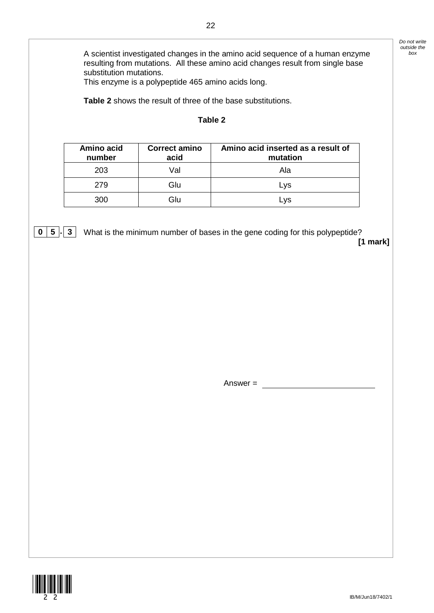*Do not write outside the* 

A scientist investigated changes in the amino acid sequence of a human enzyme *box* resulting from mutations. All these amino acid changes result from single base substitution mutations.

This enzyme is a polypeptide 465 amino acids long.

**Table 2** shows the result of three of the base substitutions.

## **Table 2**

| Amino acid<br>number | <b>Correct amino</b><br>acid | Amino acid inserted as a result of<br>mutation |
|----------------------|------------------------------|------------------------------------------------|
| 203                  | Val                          | Ala                                            |
| 279                  | Glu                          | Lys                                            |
| 300                  | Glu                          | Lvs                                            |

**0 5** . **3** What is the minimum number of bases in the gene coding for this polypeptide? **[1 mark]**

Answer =

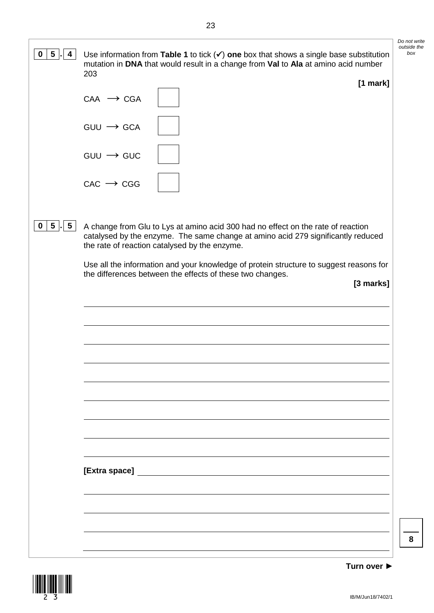| $5\phantom{.0}$<br>0<br>4               | Use information from Table 1 to tick $(v)$ one box that shows a single base substitution<br>mutation in DNA that would result in a change from Val to Ala at amino acid number                                        | Do not write<br>outside the<br>box |
|-----------------------------------------|-----------------------------------------------------------------------------------------------------------------------------------------------------------------------------------------------------------------------|------------------------------------|
|                                         | 203<br>$[1$ mark]                                                                                                                                                                                                     |                                    |
|                                         | $CAA \rightarrow CGA$                                                                                                                                                                                                 |                                    |
|                                         | $GUU \longrightarrow GCA$                                                                                                                                                                                             |                                    |
|                                         | $GUU \rightarrow GUC$                                                                                                                                                                                                 |                                    |
|                                         | $CAC \rightarrow CGG$                                                                                                                                                                                                 |                                    |
| $5\overline{)}$<br>$5\overline{)}$<br>0 | A change from Glu to Lys at amino acid 300 had no effect on the rate of reaction<br>catalysed by the enzyme. The same change at amino acid 279 significantly reduced<br>the rate of reaction catalysed by the enzyme. |                                    |
|                                         | Use all the information and your knowledge of protein structure to suggest reasons for<br>the differences between the effects of these two changes.                                                                   |                                    |
|                                         | [3 marks]                                                                                                                                                                                                             |                                    |
|                                         |                                                                                                                                                                                                                       |                                    |
|                                         |                                                                                                                                                                                                                       |                                    |
|                                         |                                                                                                                                                                                                                       |                                    |
|                                         |                                                                                                                                                                                                                       |                                    |
|                                         |                                                                                                                                                                                                                       |                                    |
|                                         |                                                                                                                                                                                                                       |                                    |
|                                         |                                                                                                                                                                                                                       |                                    |
|                                         |                                                                                                                                                                                                                       |                                    |
|                                         |                                                                                                                                                                                                                       |                                    |
|                                         | [Extra space]                                                                                                                                                                                                         |                                    |
|                                         |                                                                                                                                                                                                                       |                                    |
|                                         |                                                                                                                                                                                                                       | 8                                  |
|                                         |                                                                                                                                                                                                                       |                                    |

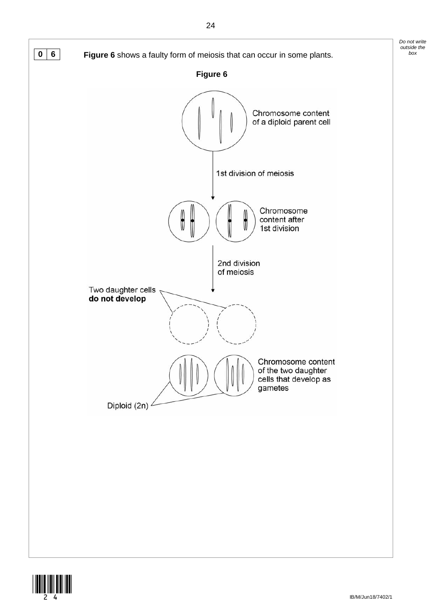

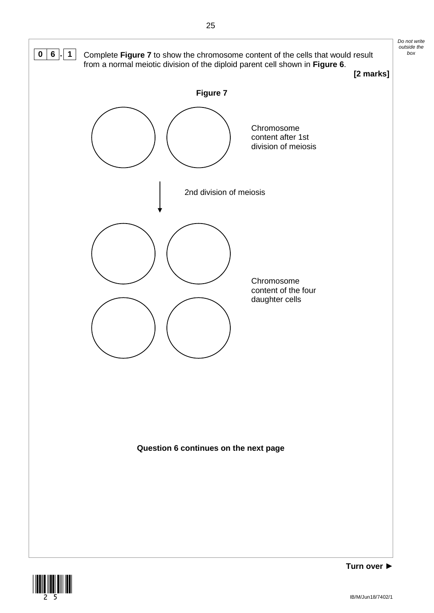

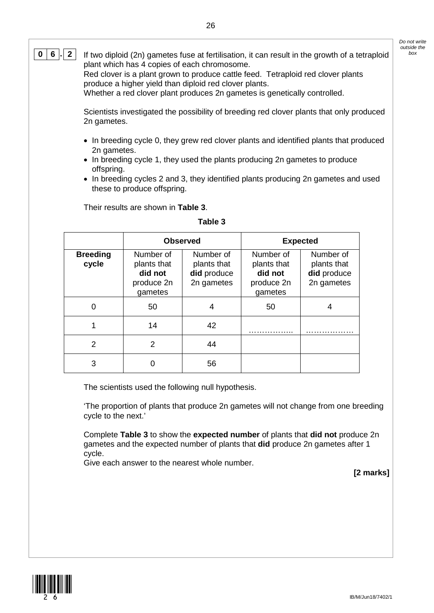**0**  $\vert$  **6**  $\vert$  **.**  $\vert$  **2**  $\vert$  If two diploid (2n) gametes fuse at fertilisation, it can result in the growth of a tetraploid plant which has 4 copies of each chromosome. Red clover is a plant grown to produce cattle feed. Tetraploid red clover plants

produce a higher yield than diploid red clover plants.

Whether a red clover plant produces 2n gametes is genetically controlled.

Scientists investigated the possibility of breeding red clover plants that only produced 2n gametes.

- In breeding cycle 0, they grew red clover plants and identified plants that produced 2n gametes.
- In breeding cycle 1, they used the plants producing 2n gametes to produce offspring.
- In breeding cycles 2 and 3, they identified plants producing 2n gametes and used these to produce offspring.

Their results are shown in **Table 3**.

## **Table 3**

|                          | <b>Observed</b>                                              |                                                       |                                                              | <b>Expected</b>                                       |
|--------------------------|--------------------------------------------------------------|-------------------------------------------------------|--------------------------------------------------------------|-------------------------------------------------------|
| <b>Breeding</b><br>cycle | Number of<br>plants that<br>did not<br>produce 2n<br>gametes | Number of<br>plants that<br>did produce<br>2n gametes | Number of<br>plants that<br>did not<br>produce 2n<br>gametes | Number of<br>plants that<br>did produce<br>2n gametes |
| O                        | 50                                                           |                                                       | 50                                                           |                                                       |
|                          | 14                                                           | 42                                                    |                                                              |                                                       |
| $\mathcal{P}$            | 2                                                            | 44                                                    |                                                              |                                                       |
| 3                        |                                                              | 56                                                    |                                                              |                                                       |

The scientists used the following null hypothesis.

'The proportion of plants that produce 2n gametes will not change from one breeding cycle to the next.'

Complete **Table 3** to show the **expected number** of plants that **did not** produce 2n gametes and the expected number of plants that **did** produce 2n gametes after 1 cycle.

Give each answer to the nearest whole number.

**[2 marks]**

IB/M/Jun18/7402/1

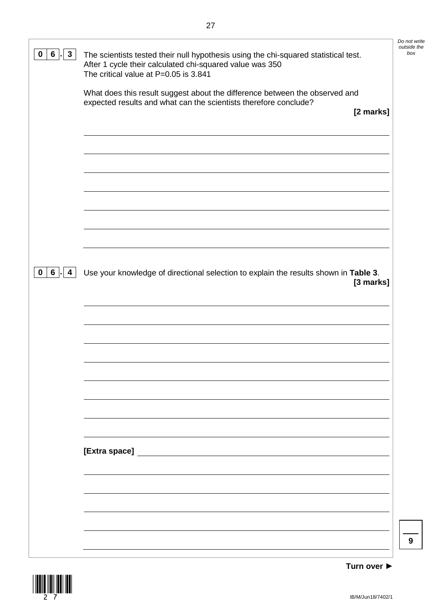|                                        |                                                                                                                                                                                          | Do not write<br>outside the |
|----------------------------------------|------------------------------------------------------------------------------------------------------------------------------------------------------------------------------------------|-----------------------------|
| $6\overline{6}$<br>$3\phantom{a}$<br>0 | The scientists tested their null hypothesis using the chi-squared statistical test.<br>After 1 cycle their calculated chi-squared value was 350<br>The critical value at P=0.05 is 3.841 | box                         |
|                                        | What does this result suggest about the difference between the observed and                                                                                                              |                             |
|                                        | expected results and what can the scientists therefore conclude?<br>[2 marks]                                                                                                            |                             |
|                                        |                                                                                                                                                                                          |                             |
|                                        |                                                                                                                                                                                          |                             |
|                                        |                                                                                                                                                                                          |                             |
|                                        |                                                                                                                                                                                          |                             |
|                                        |                                                                                                                                                                                          |                             |
|                                        |                                                                                                                                                                                          |                             |
|                                        |                                                                                                                                                                                          |                             |
|                                        |                                                                                                                                                                                          |                             |
| $6 \mid$<br>$\mathbf{0}$<br>4          | Use your knowledge of directional selection to explain the results shown in Table 3.                                                                                                     |                             |
|                                        | [3 marks]                                                                                                                                                                                |                             |
|                                        |                                                                                                                                                                                          |                             |
|                                        |                                                                                                                                                                                          |                             |
|                                        |                                                                                                                                                                                          |                             |
|                                        |                                                                                                                                                                                          |                             |
|                                        |                                                                                                                                                                                          |                             |
|                                        |                                                                                                                                                                                          |                             |
|                                        |                                                                                                                                                                                          |                             |
|                                        |                                                                                                                                                                                          |                             |
|                                        |                                                                                                                                                                                          |                             |
|                                        |                                                                                                                                                                                          |                             |
|                                        |                                                                                                                                                                                          |                             |
|                                        |                                                                                                                                                                                          |                             |
|                                        |                                                                                                                                                                                          |                             |
|                                        |                                                                                                                                                                                          | 9                           |
|                                        |                                                                                                                                                                                          |                             |

\*27\*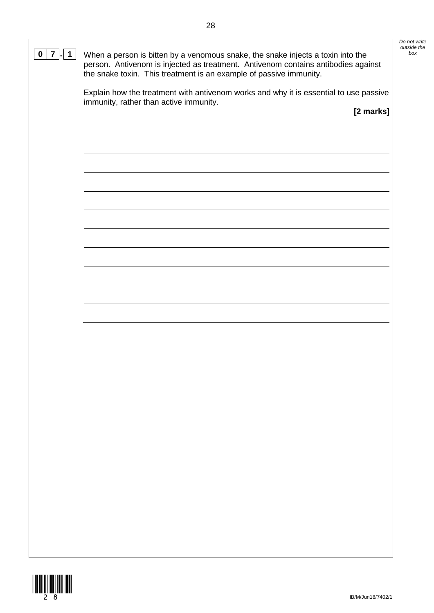| $\overline{7}$<br>$\mathbf 1$<br>0 | When a person is bitten by a venomous snake, the snake injects a toxin into the<br>person. Antivenom is injected as treatment. Antivenom contains antibodies against<br>the snake toxin. This treatment is an example of passive immunity. | Do not write<br>outside the<br>box |
|------------------------------------|--------------------------------------------------------------------------------------------------------------------------------------------------------------------------------------------------------------------------------------------|------------------------------------|
|                                    | Explain how the treatment with antivenom works and why it is essential to use passive<br>immunity, rather than active immunity.<br>[2 marks]                                                                                               |                                    |
|                                    |                                                                                                                                                                                                                                            |                                    |
|                                    |                                                                                                                                                                                                                                            |                                    |
|                                    |                                                                                                                                                                                                                                            |                                    |
|                                    |                                                                                                                                                                                                                                            |                                    |
|                                    |                                                                                                                                                                                                                                            |                                    |
|                                    |                                                                                                                                                                                                                                            |                                    |
|                                    |                                                                                                                                                                                                                                            |                                    |
|                                    |                                                                                                                                                                                                                                            |                                    |
|                                    |                                                                                                                                                                                                                                            |                                    |
|                                    |                                                                                                                                                                                                                                            |                                    |
|                                    |                                                                                                                                                                                                                                            |                                    |
|                                    |                                                                                                                                                                                                                                            |                                    |
|                                    |                                                                                                                                                                                                                                            |                                    |
|                                    |                                                                                                                                                                                                                                            |                                    |

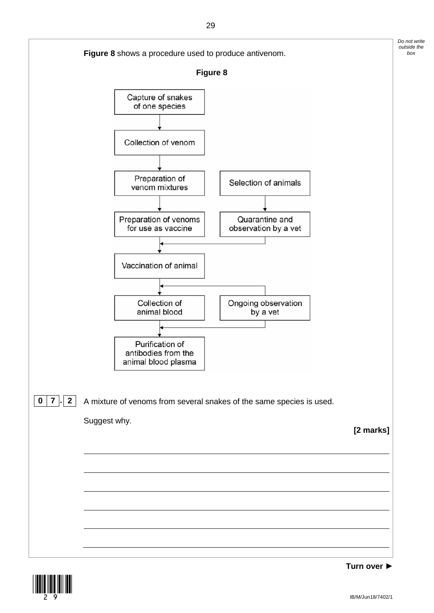

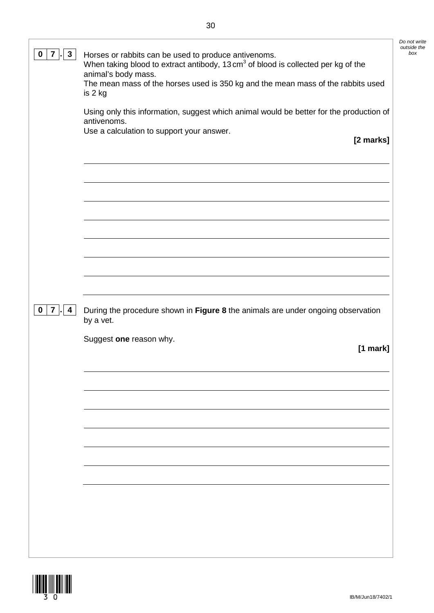|                                                                                               | Do not write<br>outside the |
|-----------------------------------------------------------------------------------------------|-----------------------------|
| Horses or rabbits can be used to produce antivenoms.                                          | box                         |
| When taking blood to extract antibody, 13 cm <sup>3</sup> of blood is collected per kg of the |                             |
| animal's body mass.                                                                           |                             |

| animal's body mass.                                                              |  |
|----------------------------------------------------------------------------------|--|
| The mean mass of the horses used is 350 kg and the mean mass of the rabbits used |  |
| is 2 kg                                                                          |  |

Using only this information, suggest which animal would be better for the production of antivenoms.

Use a calculation to support your answer.

**0 7**  $\cdot$  **3** Horses or rabbits can be used to produce antivenoms.

**[2 marks]**

**0 7 . 4** During the procedure shown in **Figure 8** the animals are under ongoing observation by a vet.

Suggest **one** reason why.

**[1 mark]**

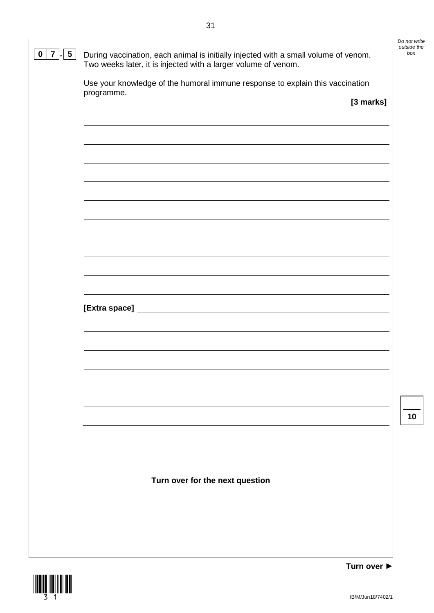| $5\phantom{.0}$<br>7<br>0 | During vaccination, each animal is initially injected with a small volume of venom.<br>Two weeks later, it is injected with a larger volume of venom. | Do not write<br>outside the<br>box |
|---------------------------|-------------------------------------------------------------------------------------------------------------------------------------------------------|------------------------------------|
|                           | Use your knowledge of the humoral immune response to explain this vaccination                                                                         |                                    |
|                           | programme.<br>[3 marks]                                                                                                                               |                                    |
|                           |                                                                                                                                                       |                                    |
|                           |                                                                                                                                                       |                                    |
|                           |                                                                                                                                                       |                                    |
|                           |                                                                                                                                                       |                                    |
|                           |                                                                                                                                                       |                                    |
|                           |                                                                                                                                                       |                                    |
|                           |                                                                                                                                                       |                                    |
|                           |                                                                                                                                                       |                                    |
|                           |                                                                                                                                                       |                                    |
|                           |                                                                                                                                                       |                                    |
|                           |                                                                                                                                                       |                                    |
|                           |                                                                                                                                                       |                                    |
|                           |                                                                                                                                                       |                                    |
|                           |                                                                                                                                                       |                                    |
|                           |                                                                                                                                                       | 10                                 |
|                           |                                                                                                                                                       |                                    |
|                           |                                                                                                                                                       |                                    |
|                           | Turn over for the next question                                                                                                                       |                                    |
|                           |                                                                                                                                                       |                                    |
|                           |                                                                                                                                                       |                                    |
|                           |                                                                                                                                                       |                                    |
|                           | Turn over ▶                                                                                                                                           |                                    |

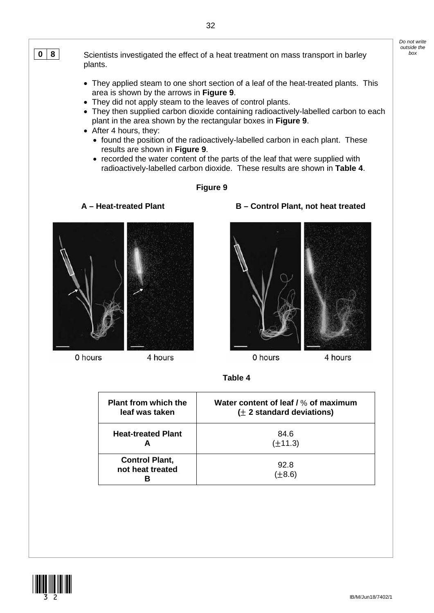**0** 8 Scientists investigated the effect of a heat treatment on mass transport in barley **by** plants.

- They applied steam to one short section of a leaf of the heat-treated plants. This area is shown by the arrows in **Figure 9**.
- They did not apply steam to the leaves of control plants.
- They then supplied carbon dioxide containing radioactively-labelled carbon to each plant in the area shown by the rectangular boxes in **Figure 9**.
- After 4 hours, they:
	- found the position of the radioactively-labelled carbon in each plant. These results are shown in **Figure 9**.
	- recorded the water content of the parts of the leaf that were supplied with radioactively-labelled carbon dioxide. These results are shown in **Table 4**.

## **Figure 9**



0 hours

4 hours





0 hours

4 hours



| <b>Plant from which the</b> | Water content of leaf / % of maximum |
|-----------------------------|--------------------------------------|
| leaf was taken              | $(± 2$ standard deviations)          |
| <b>Heat-treated Plant</b>   | 84.6<br>$(\pm 11.3)$                 |
| <b>Control Plant,</b>       | 92.8                                 |
| not heat treated            | $(\pm 8.6)$                          |

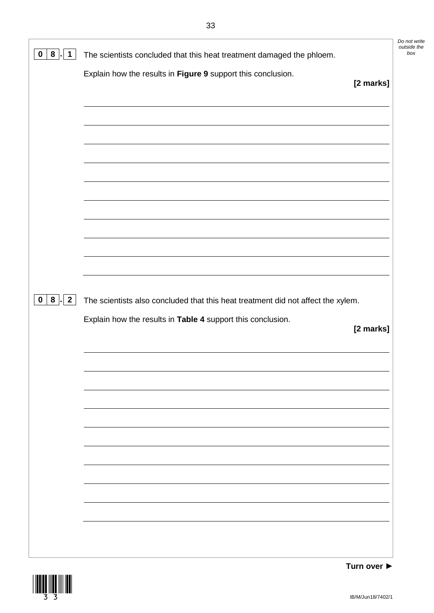| 8<br>1<br>U                                                | The scientists concluded that this heat treatment damaged the phloem.            | Do not write<br>outside the<br>box |
|------------------------------------------------------------|----------------------------------------------------------------------------------|------------------------------------|
|                                                            | Explain how the results in Figure 9 support this conclusion.<br>[2 marks]        |                                    |
|                                                            |                                                                                  |                                    |
|                                                            |                                                                                  |                                    |
|                                                            |                                                                                  |                                    |
|                                                            |                                                                                  |                                    |
|                                                            |                                                                                  |                                    |
|                                                            |                                                                                  |                                    |
| $\overline{2}$<br>8 <sup>1</sup><br>$\boldsymbol{0}$<br>H. | The scientists also concluded that this heat treatment did not affect the xylem. |                                    |
|                                                            | Explain how the results in Table 4 support this conclusion.                      |                                    |
|                                                            | [2 marks]                                                                        |                                    |
|                                                            |                                                                                  |                                    |
|                                                            |                                                                                  |                                    |
|                                                            |                                                                                  |                                    |
|                                                            |                                                                                  |                                    |
|                                                            |                                                                                  |                                    |
|                                                            |                                                                                  |                                    |

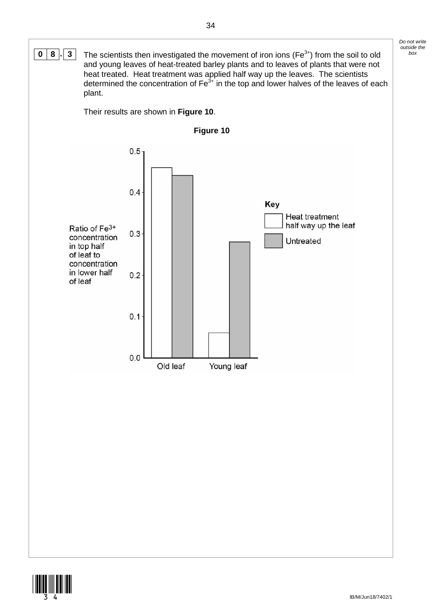

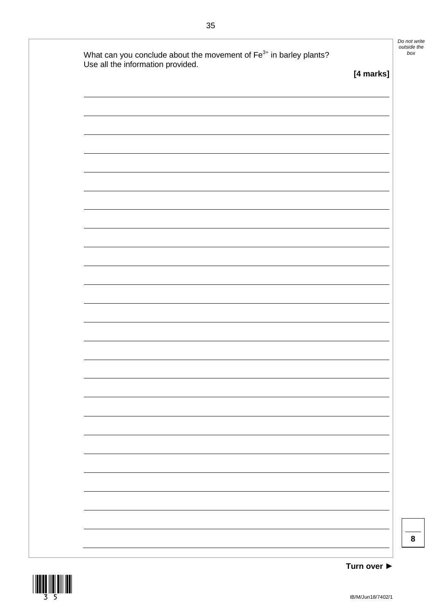| What can you conclude about the movement of Fe <sup>3+</sup> in barley plants?<br>Use all the information provided. |           |
|---------------------------------------------------------------------------------------------------------------------|-----------|
|                                                                                                                     | [4 marks] |
|                                                                                                                     |           |
|                                                                                                                     |           |
|                                                                                                                     |           |
|                                                                                                                     |           |
|                                                                                                                     |           |
|                                                                                                                     |           |
|                                                                                                                     |           |
|                                                                                                                     |           |
|                                                                                                                     |           |
|                                                                                                                     |           |
|                                                                                                                     |           |
|                                                                                                                     |           |
|                                                                                                                     |           |
|                                                                                                                     |           |
|                                                                                                                     |           |
|                                                                                                                     |           |
|                                                                                                                     |           |
|                                                                                                                     |           |
|                                                                                                                     |           |
|                                                                                                                     |           |
|                                                                                                                     |           |
|                                                                                                                     |           |
|                                                                                                                     |           |
|                                                                                                                     |           |
|                                                                                                                     |           |
|                                                                                                                     |           |
|                                                                                                                     |           |

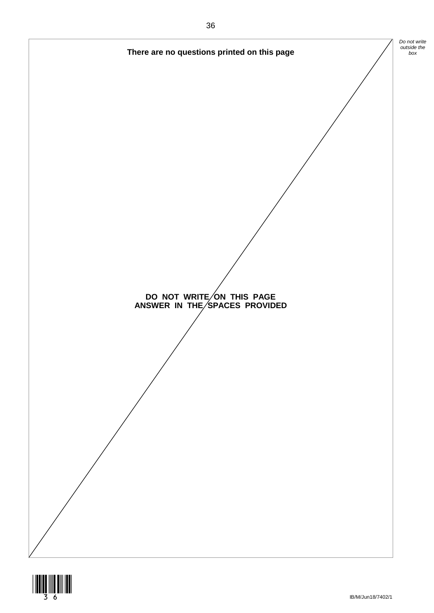

![](_page_35_Picture_1.jpeg)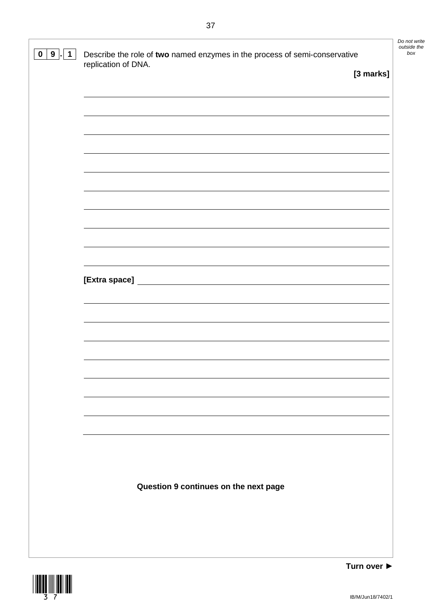| 9 <sub>1</sub><br>$\mathbf 0$<br>$\overline{1}$ | Describe the role of two named enzymes in the process of semi-conservative | Do not write<br>outside the<br>box |
|-------------------------------------------------|----------------------------------------------------------------------------|------------------------------------|
|                                                 | replication of DNA.<br>[3 marks]                                           |                                    |
|                                                 |                                                                            |                                    |
|                                                 |                                                                            |                                    |
|                                                 |                                                                            |                                    |
|                                                 |                                                                            |                                    |
|                                                 |                                                                            |                                    |
|                                                 |                                                                            |                                    |
|                                                 |                                                                            |                                    |
|                                                 |                                                                            |                                    |
|                                                 |                                                                            |                                    |
|                                                 |                                                                            |                                    |
|                                                 |                                                                            |                                    |
|                                                 |                                                                            |                                    |
|                                                 |                                                                            |                                    |
|                                                 |                                                                            |                                    |
|                                                 |                                                                            |                                    |
|                                                 |                                                                            |                                    |
|                                                 |                                                                            |                                    |
|                                                 |                                                                            |                                    |
|                                                 |                                                                            |                                    |
|                                                 |                                                                            |                                    |
|                                                 |                                                                            |                                    |
|                                                 |                                                                            |                                    |
|                                                 | Question 9 continues on the next page                                      |                                    |
|                                                 |                                                                            |                                    |
|                                                 |                                                                            |                                    |
|                                                 |                                                                            |                                    |
|                                                 |                                                                            |                                    |

![](_page_36_Picture_1.jpeg)

 $\mathbb{L}$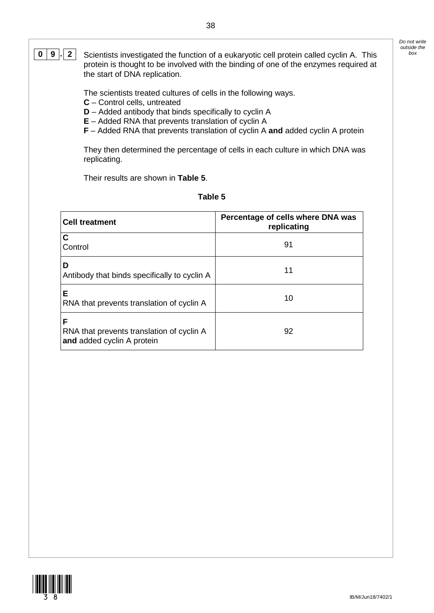*Do not write outside the* 

**0 9**  $\cdot$  **2** Scientists investigated the function of a eukaryotic cell protein called cyclin A. This protein is thought to be involved with the binding of one of the enzymes required at the start of DNA replication.

The scientists treated cultures of cells in the following ways.

- **C** Control cells, untreated
- **D** Added antibody that binds specifically to cyclin A
- **E** Added RNA that prevents translation of cyclin A
- **F** Added RNA that prevents translation of cyclin A **and** added cyclin A protein

They then determined the percentage of cells in each culture in which DNA was replicating.

Their results are shown in **Table 5**.

| וחו |  |
|-----|--|
|-----|--|

| <b>Cell treatment</b>                                                        | Percentage of cells where DNA was<br>replicating |
|------------------------------------------------------------------------------|--------------------------------------------------|
| C<br>Control                                                                 | 91                                               |
| D<br>Antibody that binds specifically to cyclin A                            | 11                                               |
| Е<br>RNA that prevents translation of cyclin A                               | 10                                               |
| F<br>RNA that prevents translation of cyclin A<br>and added cyclin A protein | 92                                               |

![](_page_37_Picture_11.jpeg)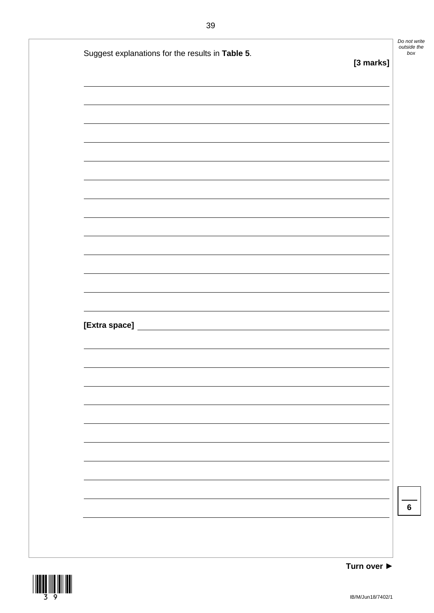| Suggest explanations for the results in Table 5.<br>[3 marks] |
|---------------------------------------------------------------|
|                                                               |
|                                                               |
|                                                               |
|                                                               |
|                                                               |
|                                                               |
|                                                               |
|                                                               |
|                                                               |
|                                                               |
|                                                               |
|                                                               |
|                                                               |
|                                                               |
|                                                               |
|                                                               |
|                                                               |
|                                                               |
|                                                               |
|                                                               |
|                                                               |
|                                                               |

![](_page_38_Picture_1.jpeg)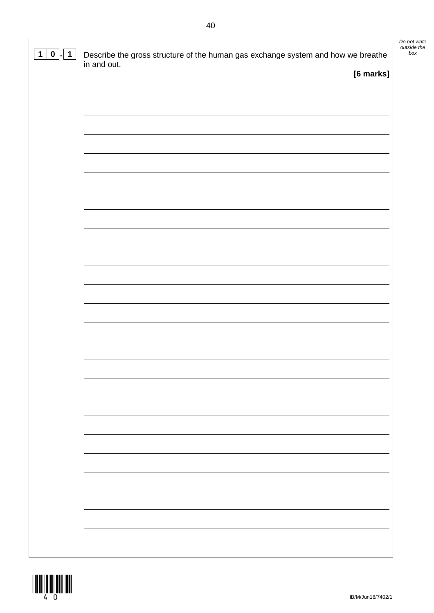| $\mathbf 1$<br>$\mathbf{0}$ | Describe the gross structure of the human gas exchange system and how we breathe | Do not write<br>outside the<br>box |
|-----------------------------|----------------------------------------------------------------------------------|------------------------------------|
|                             | in and out.<br>[6 marks]                                                         |                                    |
|                             |                                                                                  |                                    |
|                             |                                                                                  |                                    |
|                             |                                                                                  |                                    |
|                             |                                                                                  |                                    |
|                             |                                                                                  |                                    |
|                             |                                                                                  |                                    |
|                             |                                                                                  |                                    |
|                             |                                                                                  |                                    |
|                             |                                                                                  |                                    |
|                             |                                                                                  |                                    |
|                             |                                                                                  |                                    |
|                             |                                                                                  |                                    |
|                             |                                                                                  |                                    |
|                             |                                                                                  |                                    |
|                             |                                                                                  |                                    |
|                             |                                                                                  |                                    |
|                             |                                                                                  |                                    |
|                             |                                                                                  |                                    |
|                             |                                                                                  |                                    |
|                             |                                                                                  |                                    |
|                             |                                                                                  |                                    |
|                             |                                                                                  |                                    |
|                             |                                                                                  |                                    |
|                             |                                                                                  |                                    |
|                             |                                                                                  |                                    |
|                             |                                                                                  |                                    |
|                             |                                                                                  |                                    |
|                             |                                                                                  |                                    |
|                             |                                                                                  |                                    |
|                             |                                                                                  |                                    |
|                             |                                                                                  |                                    |
|                             |                                                                                  |                                    |

![](_page_39_Picture_1.jpeg)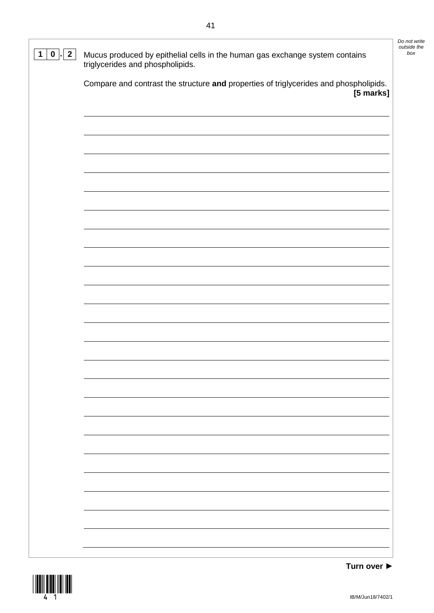| $\overline{2}$<br>$\mathbf 0$<br>1 | Mucus produced by epithelial cells in the human gas exchange system contains<br>triglycerides and phospholipids. | Do not write<br>outside the<br>box |
|------------------------------------|------------------------------------------------------------------------------------------------------------------|------------------------------------|
|                                    | Compare and contrast the structure and properties of triglycerides and phospholipids.<br>[5 marks]               |                                    |
|                                    |                                                                                                                  |                                    |
|                                    |                                                                                                                  |                                    |
|                                    |                                                                                                                  |                                    |
|                                    |                                                                                                                  |                                    |
|                                    |                                                                                                                  |                                    |
|                                    |                                                                                                                  |                                    |
|                                    |                                                                                                                  |                                    |
|                                    |                                                                                                                  |                                    |
|                                    |                                                                                                                  |                                    |
|                                    |                                                                                                                  |                                    |
|                                    |                                                                                                                  |                                    |
|                                    |                                                                                                                  |                                    |
|                                    |                                                                                                                  |                                    |
|                                    |                                                                                                                  |                                    |

![](_page_40_Picture_1.jpeg)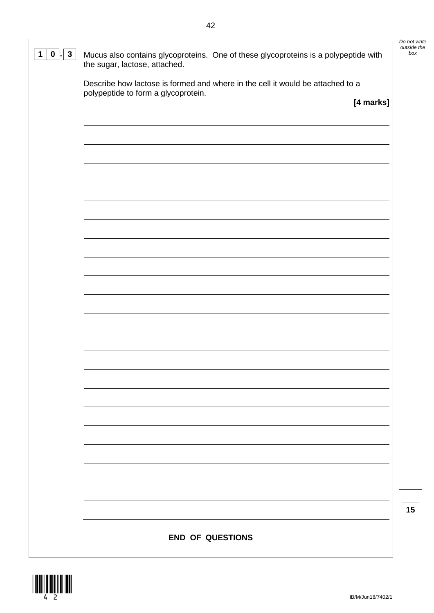| Mucus also contains glycoproteins. One of these glycoproteins is a polypeptide with<br>the sugar, lactose, attached.  |
|-----------------------------------------------------------------------------------------------------------------------|
| Describe how lactose is formed and where in the cell it would be attached to a<br>polypeptide to form a glycoprotein. |
| [4 marks]                                                                                                             |
|                                                                                                                       |
|                                                                                                                       |
|                                                                                                                       |
|                                                                                                                       |
|                                                                                                                       |
|                                                                                                                       |
|                                                                                                                       |
|                                                                                                                       |
|                                                                                                                       |
|                                                                                                                       |
|                                                                                                                       |
|                                                                                                                       |
|                                                                                                                       |
|                                                                                                                       |
|                                                                                                                       |
|                                                                                                                       |
|                                                                                                                       |
|                                                                                                                       |
|                                                                                                                       |
|                                                                                                                       |
|                                                                                                                       |
|                                                                                                                       |
| <b>END OF QUESTIONS</b>                                                                                               |

 $\frac{1}{4}$ 

| Do not write |
|--------------|
| outside the  |
| box          |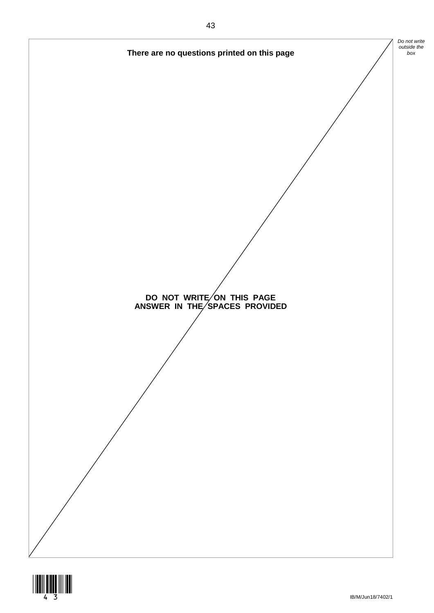![](_page_42_Figure_0.jpeg)

![](_page_42_Picture_1.jpeg)